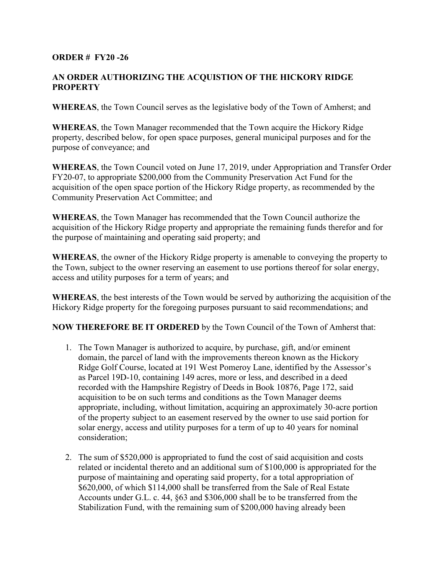## **ORDER # FY20 -26**

## **AN ORDER AUTHORIZING THE ACQUISTION OF THE HICKORY RIDGE PROPERTY**

**WHEREAS**, the Town Council serves as the legislative body of the Town of Amherst; and

**WHEREAS**, the Town Manager recommended that the Town acquire the Hickory Ridge property, described below, for open space purposes, general municipal purposes and for the purpose of conveyance; and

**WHEREAS**, the Town Council voted on June 17, 2019, under Appropriation and Transfer Order FY20-07, to appropriate \$200,000 from the Community Preservation Act Fund for the acquisition of the open space portion of the Hickory Ridge property, as recommended by the Community Preservation Act Committee; and

**WHEREAS**, the Town Manager has recommended that the Town Council authorize the acquisition of the Hickory Ridge property and appropriate the remaining funds therefor and for the purpose of maintaining and operating said property; and

**WHEREAS**, the owner of the Hickory Ridge property is amenable to conveying the property to the Town, subject to the owner reserving an easement to use portions thereof for solar energy, access and utility purposes for a term of years; and

**WHEREAS**, the best interests of the Town would be served by authorizing the acquisition of the Hickory Ridge property for the foregoing purposes pursuant to said recommendations; and

**NOW THEREFORE BE IT ORDERED** by the Town Council of the Town of Amherst that:

- 1. The Town Manager is authorized to acquire, by purchase, gift, and/or eminent domain, the parcel of land with the improvements thereon known as the Hickory Ridge Golf Course, located at 191 West Pomeroy Lane, identified by the Assessor's as Parcel 19D-10, containing 149 acres, more or less, and described in a deed recorded with the Hampshire Registry of Deeds in Book 10876, Page 172, said acquisition to be on such terms and conditions as the Town Manager deems appropriate, including, without limitation, acquiring an approximately 30-acre portion of the property subject to an easement reserved by the owner to use said portion for solar energy, access and utility purposes for a term of up to 40 years for nominal consideration;
- 2. The sum of \$520,000 is appropriated to fund the cost of said acquisition and costs related or incidental thereto and an additional sum of \$100,000 is appropriated for the purpose of maintaining and operating said property, for a total appropriation of \$620,000, of which \$114,000 shall be transferred from the Sale of Real Estate Accounts under G.L. c. 44, §63 and \$306,000 shall be to be transferred from the Stabilization Fund, with the remaining sum of \$200,000 having already been